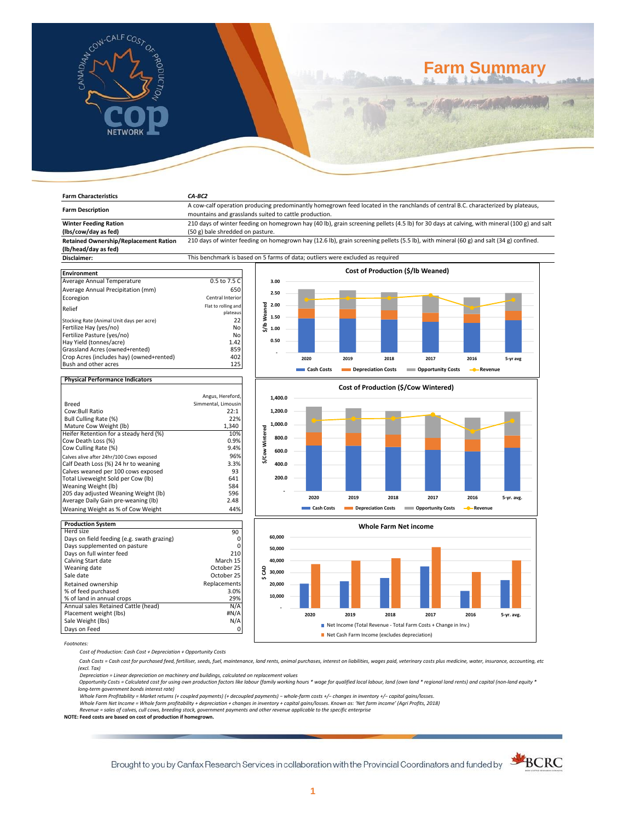

**Farm Characteristics** *CA-BC2*

# **Farm Summary**

| <b>Farm Description</b>                                                          | A cow-calf operation producing predominantly homegrown feed located in the ranchlands of central B.C. characterized by plateaus,            |                                      |            |                           |      |                                   |                        |            |  |  |
|----------------------------------------------------------------------------------|---------------------------------------------------------------------------------------------------------------------------------------------|--------------------------------------|------------|---------------------------|------|-----------------------------------|------------------------|------------|--|--|
|                                                                                  | mountains and grasslands suited to cattle production.                                                                                       |                                      |            |                           |      |                                   |                        |            |  |  |
| <b>Winter Feeding Ration</b>                                                     | 210 days of winter feeding on homegrown hay (40 lb), grain screening pellets (4.5 lb) for 30 days at calving, with mineral (100 g) and salt |                                      |            |                           |      |                                   |                        |            |  |  |
| (lbs/cow/day as fed)                                                             | (50 g) bale shredded on pasture.                                                                                                            |                                      |            |                           |      |                                   |                        |            |  |  |
| <b>Retained Ownership/Replacement Ration</b>                                     | 210 days of winter feeding on homegrown hay (12.6 lb), grain screening pellets (5.5 lb), with mineral (60 g) and salt (34 g) confined.      |                                      |            |                           |      |                                   |                        |            |  |  |
| (lb/head/day as fed)                                                             |                                                                                                                                             |                                      |            |                           |      |                                   |                        |            |  |  |
| Disclaimer:                                                                      | This benchmark is based on 5 farms of data; outliers were excluded as required                                                              |                                      |            |                           |      |                                   |                        |            |  |  |
|                                                                                  |                                                                                                                                             |                                      |            |                           |      |                                   |                        |            |  |  |
| <b>Environment</b>                                                               |                                                                                                                                             |                                      |            |                           |      | Cost of Production (\$/lb Weaned) |                        |            |  |  |
| Average Annual Temperature                                                       | 0.5 to 7.5 C                                                                                                                                | 3.00                                 |            |                           |      |                                   |                        |            |  |  |
| Average Annual Precipitation (mm)                                                | 650                                                                                                                                         | 2.50                                 |            |                           |      |                                   |                        |            |  |  |
| Ecoregion                                                                        | Central Interior                                                                                                                            |                                      |            |                           |      |                                   |                        |            |  |  |
|                                                                                  | Flat to rolling and                                                                                                                         | 2.00                                 |            |                           |      |                                   |                        |            |  |  |
| Relief                                                                           | plateaus                                                                                                                                    |                                      |            |                           |      |                                   |                        |            |  |  |
| Stocking Rate (Animal Unit days per acre)                                        | 22                                                                                                                                          | \$/lb Weaned<br>1.50                 |            |                           |      |                                   |                        |            |  |  |
| Fertilize Hay (yes/no)                                                           | No                                                                                                                                          | 1.00                                 |            |                           |      |                                   |                        |            |  |  |
| Fertilize Pasture (yes/no)                                                       | No                                                                                                                                          |                                      |            |                           |      |                                   |                        |            |  |  |
| Hay Yield (tonnes/acre)                                                          | 1.42                                                                                                                                        | 0.50                                 |            |                           |      |                                   |                        |            |  |  |
| Grassland Acres (owned+rented)                                                   | 859                                                                                                                                         |                                      |            |                           |      |                                   |                        |            |  |  |
| Crop Acres (includes hay) (owned+rented)                                         | 402                                                                                                                                         |                                      | 2020       | 2019                      | 2018 | 2017                              | 2016                   | 5-yr avg   |  |  |
| Bush and other acres                                                             | 125                                                                                                                                         |                                      | Cash Costs | <b>Depreciation Costs</b> |      | <b>Component Contracts</b>        | - Revenue              |            |  |  |
|                                                                                  |                                                                                                                                             |                                      |            |                           |      |                                   |                        |            |  |  |
| <b>Physical Performance Indicators</b>                                           |                                                                                                                                             | Cost of Production (\$/Cow Wintered) |            |                           |      |                                   |                        |            |  |  |
|                                                                                  |                                                                                                                                             |                                      |            |                           |      |                                   |                        |            |  |  |
|                                                                                  | Angus, Hereford,                                                                                                                            | 1,400.0                              |            |                           |      |                                   |                        |            |  |  |
| Breed                                                                            | Simmental, Limousin                                                                                                                         |                                      |            |                           |      |                                   |                        |            |  |  |
| Cow:Bull Ratio                                                                   | 22:1                                                                                                                                        | 1,200.0                              |            |                           |      |                                   |                        |            |  |  |
| Bull Culling Rate (%)                                                            | 22%                                                                                                                                         | 1,000.0                              |            |                           |      |                                   |                        |            |  |  |
| Mature Cow Weight (lb)<br>Heifer Retention for a steady herd (%)                 | 1,340<br>10%                                                                                                                                | \$/Cow Wintered                      |            |                           |      |                                   |                        |            |  |  |
| Cow Death Loss (%)                                                               | 0.9%                                                                                                                                        | 800.0                                |            |                           |      |                                   |                        |            |  |  |
| Cow Culling Rate (%)                                                             | 9.4%                                                                                                                                        |                                      |            |                           |      |                                   |                        |            |  |  |
|                                                                                  | 96%                                                                                                                                         | 600.0                                |            |                           |      |                                   |                        |            |  |  |
| Calves alive after 24hr/100 Cows exposed<br>Calf Death Loss (%) 24 hr to weaning | 3.3%                                                                                                                                        | 400.0                                |            |                           |      |                                   |                        |            |  |  |
| Calves weaned per 100 cows exposed                                               | 93                                                                                                                                          |                                      |            |                           |      |                                   |                        |            |  |  |
| Total Liveweight Sold per Cow (lb)                                               | 641                                                                                                                                         | 200.0                                |            |                           |      |                                   |                        |            |  |  |
| Weaning Weight (lb)                                                              | 584                                                                                                                                         |                                      |            |                           |      |                                   |                        |            |  |  |
| 205 day adjusted Weaning Weight (lb)                                             | 596                                                                                                                                         |                                      |            |                           |      |                                   |                        |            |  |  |
| Average Daily Gain pre-weaning (lb)                                              | 2.48                                                                                                                                        |                                      | 2020       | 2019                      | 2018 | 2017                              | 2016                   | 5-yr. avg. |  |  |
| Weaning Weight as % of Cow Weight                                                | 44%                                                                                                                                         |                                      | Cash Costs | Depreciation Costs        |      | <b>Component Contracts</b>        | - <sup>-</sup> Revenue |            |  |  |
|                                                                                  |                                                                                                                                             |                                      |            |                           |      |                                   |                        |            |  |  |
| <b>Production System</b>                                                         |                                                                                                                                             |                                      |            |                           |      | <b>Whole Farm Net income</b>      |                        |            |  |  |
| Herd size                                                                        | 90                                                                                                                                          |                                      |            |                           |      |                                   |                        |            |  |  |
| Days on field feeding (e.g. swath grazing)                                       | 0                                                                                                                                           | 60,000                               |            |                           |      |                                   |                        |            |  |  |
| Days supplemented on pasture                                                     | 0                                                                                                                                           | 50,000                               |            |                           |      |                                   |                        |            |  |  |
| Days on full winter feed                                                         | 210                                                                                                                                         |                                      |            |                           |      |                                   |                        |            |  |  |
| Calving Start date                                                               | March 15                                                                                                                                    | 40,000                               |            |                           |      |                                   |                        |            |  |  |





Net Cash Farm Income (excludes depreciation)

*Footnotes:*

*Cost of Production: Cash Cost + Depreciation + Opportunity Costs*

 *Cash Costs = Cash cost for purchased feed, fertiliser, seeds, fuel, maintenance, land rents, animal purchases, interest on liabilities, wages paid, veterinary costs plus medicine, water, insurance, accounting, etc (excl. Tax)* 

Depreciation = Linear depreciation on machinery and buildings, calculated on replacement values<br>Opportunity Costs = Calculated cost for using own production factors like labour (family working hours \* wage for qualified lo *long-term government bonds interest rate)* 

Whole Farm Profitability = Market returns (+ coupled payments) (+ decoupled payments) – whole-farm costs +/– changes in inventory +/– capital gains/losses.<br>Whole Farm Net Income = Whole farm profitability + depreciation +

*Revenue = sales of calves, cull cows, breeding stock, government payments and other revenue applicable to the specific enterprise*

**NOTE: Feed costs are based on cost of production if homegrown.**

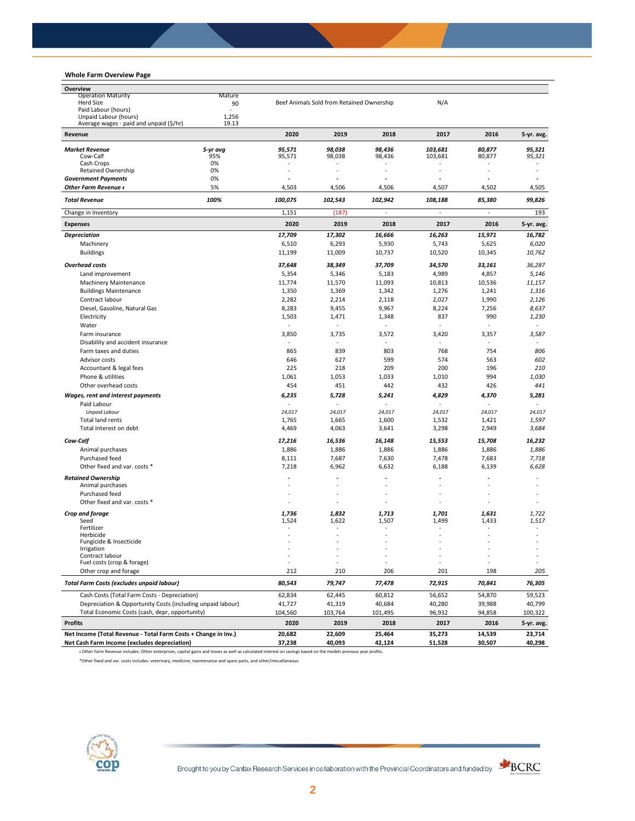## **Whole Farm Overview Page**

| Overview                                                       |                 |                                           |             |                 |                |        |            |
|----------------------------------------------------------------|-----------------|-------------------------------------------|-------------|-----------------|----------------|--------|------------|
| <b>Operation Maturity</b>                                      | Mature          |                                           |             |                 |                |        |            |
| <b>Herd Size</b><br>Paid Labour (hours)                        | 90<br>$\bar{a}$ | Beef Animals Sold from Retained Ownership |             |                 | N/A            |        |            |
| Unpaid Labour (hours)                                          | 1,256           |                                           |             |                 |                |        |            |
| Average wages - paid and unpaid (\$/hr)                        | 19.13           |                                           |             |                 |                |        |            |
| Revenue                                                        |                 | 2020                                      | 2019        | 2018            | 2017           | 2016   | 5-yr. avg. |
| <b>Market Revenue</b>                                          | 5-yr avg        | 95,571                                    | 98,038      | 98.436          | 103,681        | 80,877 | 95,321     |
| Cow-Calf                                                       | 95%             | 95,571                                    | 98,038      | 98,436          | 103,681        | 80,877 | 95,321     |
| Cash Crops                                                     | 0%              |                                           | ٠           |                 |                |        |            |
| <b>Retained Ownership</b>                                      | 0%              | ä,                                        |             |                 |                |        |            |
| <b>Government Payments</b>                                     | 0%              | ä,                                        |             |                 | $\overline{a}$ |        |            |
| Other Farm Revenue +                                           | 5%              | 4,503                                     | 4,506       | 4,506           | 4,507          | 4,502  | 4,505      |
| <b>Total Revenue</b>                                           | 100%            | 100,075                                   | 102,543     | 102,942         | 108,188        | 85,380 | 99,826     |
| Change in Inventory                                            |                 | 1,151                                     | (187)       |                 | ä,             |        | 193        |
| <b>Expenses</b>                                                |                 | 2020                                      | 2019        | 2018            | 2017           | 2016   | 5-yr. avg. |
| <b>Depreciation</b>                                            |                 | 17,709                                    | 17,302      | 16,666          | 16,263         | 15,971 | 16,782     |
| Machinery                                                      |                 | 6,510                                     | 6,293       | 5,930           | 5,743          | 5,625  | 6,020      |
| <b>Buildings</b>                                               |                 | 11,199                                    | 11,009      | 10,737          | 10,520         | 10,345 | 10,762     |
| <b>Overhead costs</b>                                          |                 | 37,648                                    | 38,349      | 37,709          | 34,570         | 33,161 | 36,287     |
| Land improvement                                               |                 | 5,354                                     | 5,346       | 5,183           | 4,989          | 4,857  | 5,146      |
| Machinery Maintenance                                          |                 | 11,774                                    | 11,570      | 11,093          | 10,813         | 10,536 | 11,157     |
| <b>Buildings Maintenance</b>                                   |                 | 1,350                                     | 1,369       | 1,342           | 1,276          | 1,241  | 1,316      |
| Contract labour                                                |                 |                                           |             | 2,118           | 2,027          |        | 2,126      |
| Diesel, Gasoline, Natural Gas                                  |                 | 2,282                                     | 2,214       |                 |                | 1,990  |            |
|                                                                |                 | 8,283                                     | 9,455       | 9,967           | 8,224          | 7,256  | 8,637      |
| Electricity                                                    |                 | 1,503<br>$\sim$                           | 1,471<br>ä, | 1,348<br>$\sim$ | 837<br>÷       | 990    | 1,230      |
| Water                                                          |                 |                                           |             |                 |                | $\sim$ |            |
| Farm insurance                                                 |                 | 3,850                                     | 3,735       | 3,572           | 3,420          | 3,357  | 3,587      |
| Disability and accident insurance                              |                 |                                           |             |                 | ä,             | $\sim$ |            |
| Farm taxes and duties                                          |                 | 865                                       | 839         | 803             | 768            | 754    | 806        |
| Advisor costs                                                  |                 | 646                                       | 627         | 599             | 574            | 563    | 602        |
| Accountant & legal fees                                        |                 | 225                                       | 218         | 209             | 200            | 196    | 210        |
| Phone & utilities                                              |                 | 1,061                                     | 1,053       | 1,033           | 1,010          | 994    | 1,030      |
| Other overhead costs                                           |                 | 454                                       | 451         | 442             | 432            | 426    | 441        |
| Wages, rent and interest payments                              |                 | 6,235                                     | 5,728       | 5,241           | 4,829          | 4,370  | 5,281      |
| Paid Labour                                                    |                 |                                           |             |                 |                |        |            |
| <b>Unpaid Labour</b>                                           |                 | 24,017                                    | 24,017      | 24,017          | 24,017         | 24,017 | 24,017     |
| Total land rents                                               |                 | 1,765                                     | 1,665       | 1,600           | 1,532          | 1,421  | 1,597      |
| Total Interest on debt                                         |                 | 4,469                                     | 4,063       | 3,641           | 3,298          | 2,949  | 3,684      |
| Cow-Calf                                                       |                 | 17,216                                    | 16,536      | 16,148          | 15,553         | 15,708 | 16,232     |
| Animal purchases                                               |                 | 1,886                                     | 1,886       | 1,886           | 1,886          | 1,886  | 1,886      |
| Purchased feed                                                 |                 | 8,111                                     | 7,687       | 7,630           | 7,478          | 7,683  | 7,718      |
| Other fixed and var. costs *                                   |                 | 7,218                                     | 6,962       | 6,632           | 6,188          | 6,139  | 6,628      |
| <b>Retained Ownership</b>                                      |                 | ä,                                        |             |                 |                |        |            |
| Animal purchases                                               |                 | ä,                                        |             |                 |                |        |            |
| Purchased feed                                                 |                 | ÷,                                        |             |                 |                |        |            |
| Other fixed and var. costs *                                   |                 | $\sim$                                    |             |                 |                | ٠      |            |
|                                                                |                 | 1,736                                     | 1,832       | 1,713           | 1,701          | 1,631  | 1,722      |
| Crop and forage<br>Seed                                        |                 | 1,524                                     | 1,622       | 1,507           | 1,499          | 1,433  | 1,517      |
| Fertilizer                                                     |                 |                                           |             |                 |                |        |            |
| Herbicide                                                      |                 |                                           |             |                 |                |        |            |
| Fungicide & Insecticide                                        |                 |                                           |             |                 |                |        |            |
| Irrigation<br>Contract labour                                  |                 |                                           |             |                 |                |        |            |
| Fuel costs (crop & forage)                                     |                 |                                           |             |                 |                |        |            |
| Other crop and forage                                          |                 | 212                                       | 210         | 206             | 201            | 198    | 205        |
| <b>Total Farm Costs (excludes unpaid labour)</b>               |                 | 80,543                                    | 79,747      | 77,478          | 72,915         | 70,841 | 76,305     |
| Cash Costs (Total Farm Costs - Depreciation)                   |                 | 62,834                                    | 62,445      | 60,812          | 56,652         | 54,870 | 59,523     |
| Depreciation & Opportunity Costs (including unpaid labour)     |                 | 41,727                                    | 41,319      | 40,684          | 40,280         | 39,988 | 40,799     |
| Total Economic Costs (cash, depr, opportunity)                 |                 | 104,560                                   | 103,764     | 101,495         | 96,932         | 94,858 | 100,322    |
| <b>Profits</b>                                                 |                 | 2020                                      | 2019        | 2018            | 2017           | 2016   | 5-yr. avg. |
| Net Income (Total Revenue - Total Farm Costs + Change in Inv.) |                 | 20,682                                    | 22,609      | 25,464          | 35,273         | 14,539 | 23,714     |
| Net Cash Farm Income (excludes depreciation)                   |                 | 37,238                                    | 40,093      | 42,124          | 51,528         | 30,507 | 40,298     |

ᵻ Other Farm Revenue includes: Other enterprises, capital gains and losses as well as calculated interest on savings based on the models previous year profits.

\*Other fixed and var. costs includes: veterinary, medicine, maintenance and spare parts, and other/miscellaneous



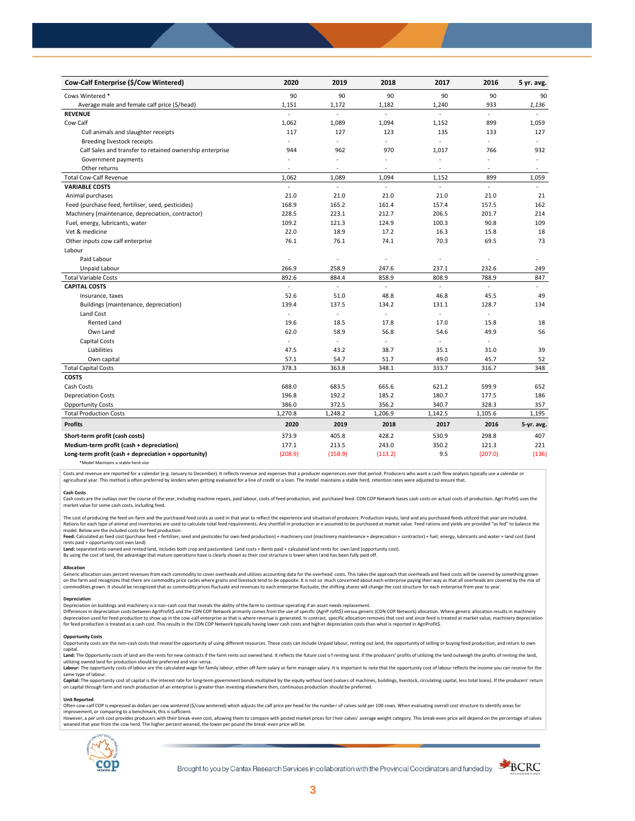| Cow-Calf Enterprise (\$/Cow Wintered)                    | 2020                     | 2019    | 2018                     | 2017          | 2016                     | 5 yr. avg.               |
|----------------------------------------------------------|--------------------------|---------|--------------------------|---------------|--------------------------|--------------------------|
| Cows Wintered *                                          | 90                       | 90      | 90                       | 90            | 90                       | 90                       |
| Average male and female calf price (\$/head)             | 1,151                    | 1,172   | 1,182                    | 1,240         | 933                      | 1,136                    |
| <b>REVENUE</b>                                           | $\overline{a}$           | L.      | $\overline{a}$           | ÷             | L.                       |                          |
| Cow Calf                                                 | 1,062                    | 1,089   | 1,094                    | 1,152         | 899                      | 1,059                    |
| Cull animals and slaughter receipts                      | 117                      | 127     | 123                      | 135           | 133                      | 127                      |
| Breeding livestock receipts                              | ÷.                       | ä,      | ÷.                       | ÷.            | ÷.                       | ÷                        |
| Calf Sales and transfer to retained ownership enterprise | 944                      | 962     | 970                      | 1,017         | 766                      | 932                      |
| Government payments                                      | ÷,                       | ÷,      | $\ddot{\phantom{1}}$     | $\sim$        | ÷,                       | $\bar{a}$                |
| Other returns                                            | ٠                        | ä,      | $\overline{\phantom{a}}$ | $\sim$        | $\sim$                   | $\overline{\phantom{a}}$ |
| <b>Total Cow-Calf Revenue</b>                            | 1,062                    | 1,089   | 1,094                    | 1,152         | 899                      | 1,059                    |
| <b>VARIABLE COSTS</b>                                    | $\overline{\phantom{a}}$ | L.      | $\mathbb{Z}^2$           | $\mathcal{L}$ | $\overline{\phantom{a}}$ | $\omega$                 |
| Animal purchases                                         | 21.0                     | 21.0    | 21.0                     | 21.0          | 21.0                     | 21                       |
| Feed (purchase feed, fertiliser, seed, pesticides)       | 168.9                    | 165.2   | 161.4                    | 157.4         | 157.5                    | 162                      |
| Machinery (maintenance, depreciation, contractor)        | 228.5                    | 223.1   | 212.7                    | 206.5         | 201.7                    | 214                      |
| Fuel, energy, lubricants, water                          | 109.2                    | 121.3   | 124.9                    | 100.3         | 90.8                     | 109                      |
| Vet & medicine                                           | 22.0                     | 18.9    | 17.2                     | 16.3          | 15.8                     | 18                       |
| Other inputs cow calf enterprise                         | 76.1                     | 76.1    | 74.1                     | 70.3          | 69.5                     | 73                       |
| Labour                                                   |                          |         |                          |               |                          |                          |
| Paid Labour                                              | $\overline{\phantom{a}}$ | ÷,      | ÷,                       | ÷.            | ÷,                       |                          |
| Unpaid Labour                                            | 266.9                    | 258.9   | 247.6                    | 237.1         | 232.6                    | 249                      |
| <b>Total Variable Costs</b>                              | 892.6                    | 884.4   | 858.9                    | 808.9         | 788.9                    | 847                      |
| <b>CAPITAL COSTS</b>                                     |                          |         |                          |               |                          |                          |
| Insurance, taxes                                         | 52.6                     | 51.0    | 48.8                     | 46.8          | 45.5                     | 49                       |
| Buildings (maintenance, depreciation)                    | 139.4                    | 137.5   | 134.2                    | 131.1         | 128.7                    | 134                      |
| Land Cost                                                | $\blacksquare$           | ä,      |                          |               |                          |                          |
| <b>Rented Land</b>                                       | 19.6                     | 18.5    | 17.8                     | 17.0          | 15.8                     | 18                       |
| Own Land                                                 | 62.0                     | 58.9    | 56.8                     | 54.6          | 49.9                     | 56                       |
| Capital Costs                                            | L.                       | ÷,      |                          | $\sim$        | ÷.                       |                          |
| Liabilities                                              | 47.5                     | 43.2    | 38.7                     | 35.1          | 31.0                     | 39                       |
| Own capital                                              | 57.1                     | 54.7    | 51.7                     | 49.0          | 45.7                     | 52                       |
| <b>Total Capital Costs</b>                               | 378.3                    | 363.8   | 348.1                    | 333.7         | 316.7                    | 348                      |
| <b>COSTS</b>                                             |                          |         |                          |               |                          |                          |
| Cash Costs                                               | 688.0                    | 683.5   | 665.6                    | 621.2         | 599.9                    | 652                      |
| <b>Depreciation Costs</b>                                | 196.8                    | 192.2   | 185.2                    | 180.7         | 177.5                    | 186                      |
| <b>Opportunity Costs</b>                                 | 386.0                    | 372.5   | 356.2                    | 340.7         | 328.3                    | 357                      |
| <b>Total Production Costs</b>                            | 1,270.8                  | 1,248.2 | 1,206.9                  | 1,142.5       | 1,105.6                  | 1,195                    |
| <b>Profits</b>                                           | 2020                     | 2019    | 2018                     | 2017          | 2016                     | 5-yr. avg.               |
| Short-term profit (cash costs)                           | 373.9                    | 405.8   | 428.2                    | 530.9         | 298.8                    | 407                      |
| Medium-term profit (cash + depreciation)                 | 177.1                    | 213.5   | 243.0                    | 350.2         | 121.3                    | 221                      |
| Long-term profit (cash + depreciation + opportunity)     | (208.9)                  | (158.9) | (113.2)                  | 9.5           | (207.0)                  | (136)                    |
|                                                          |                          |         |                          |               |                          |                          |

\*Model Maintains a stable herd size

Costs and revenue are reported for a calendar (e.g. January to December). It reflects revenue and expenses that a producer experiences over that period. Producers who want a cash flow analysis typically use a calendar or agricultural year. This method is often preferred by lenders when getting evaluated for a line of credit or a loan. The model maintains a stable herd, retention rates were adjusted to ensure that

C<mark>ash Costs</mark><br>Cash costs are the outlays over the course of the year, including machine repairs, paid labour, costs of feed production, and purchased feed. CDN COP Network bases cash costs on actual costs of production. Agr market value for some cash costs, including feed.

The cost of producing the feed on-farm and the purchased feed costs as used in that year to reflect the experience and situation of producers. Production inputs, land and any purchased feeds utilized that year are included model. Below are the included costs for feed production:

moder.outwhat was made used to receip would continuour.<br>**Feed:** Calculated as feed cost (purchase feed + fertilizer, seed and pesticides for own feed production) + machinery cost (machinery maintenance + depreciation + con rents paid + opportunity cost own land)

**Land:** separated into owned and rented land, includes both crop and pastureland. Land costs = Rents paid + calculated land rents for own land (opportunity cost).

By using the cost of land, the advantage that mature operations have is clearly shown as their cost structure is lower when l and has been fully paid off.

### **Allocation**

Generic allocation uses percent revenues from each commodity to cover overheads and utilizes accounting data for the overhead costs. This takes the approach that overheads and fixed costs will be covered by something grown commodities grown. It should be recognized that as commodity prices fluctuate and revenues to each enterprise fluctuate, the shifting shares will change the cost structure for each enterprise from year to year.

## **Depreciation**

Depreciation on buildings and machinery is a non-cash cost that reveals the ability of the farm to continue operating if an asset needs replacement. Differences in depreciation costs between AgriProfit\$ and the CDN COP Network primarily comes from the use of specific (AgriP rofit\$) versus generic (CDN COP Network) allocation. Where generic allocation results in machine

#### **Opportunity Costs**

Provincing COSS are the non-cash costs that reveal the opportunity of using different resources. These costs can include Unpaid labour, renting out land, the opportunity of selling or buying feed production, and return to capital.

required.<br>Land: The Opportunity costs of land are the rents for new contracts if the farm rents out owned land. It reflects the future cost of renting land. If the producers' profits of utilizing the land outweigh the prof utilizing owned land for production should be preferred and vice-versa.<br>**Labour:** The opportunity costs of labour are the calculated wage for family labour, either off-farm salary or farm manager salary. It is important to

same type of labour.

**Capita**l: The opportunity cost of capital is the interest rate for long-term government bonds multiplied by the equity without land (values of machines, buildings, livestock, circulating capital, less total loans). If the

#### **Unit Reported**

Often cow-calf COP is expressed as dollars per cow wintered (\$/cow wintered) which adjusts the calf price per head for the number of calves sold per 100 cows. When evaluating overall cost structure to identify areas for<br>im

however..export of the structure with the structure of the break-even cost. allowing them to compare with posted market prices for their calves' average weight category. This break-even price will depend on the percentage weaned that year from the cow herd. The higher percent weaned, the lower per pound the break -even price will be.



Brought to you by Canfax Research Services in collaboration with the Provincial Coordinators and funded by